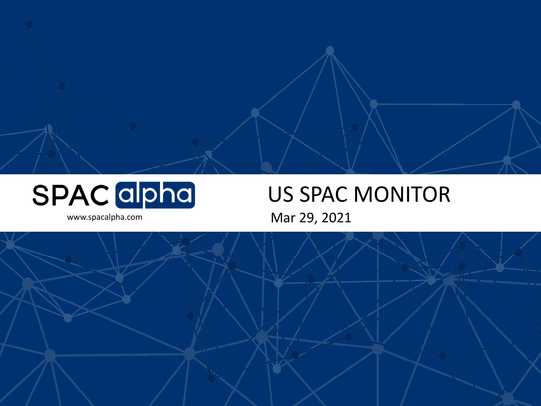

# US SPAC MONITOR

www.spacalpha.com Mar 29, 2021

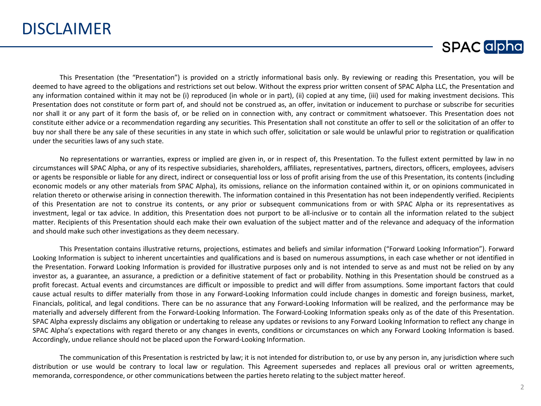

This Presentation (the "Presentation") is provided on a strictly informational basis only. By reviewing or reading this Presentation, you will be deemed to have agreed to the obligations and restrictions set out below. Without the express prior written consent of SPAC Alpha LLC, the Presentation and any information contained within it may not be (i) reproduced (in whole or in part), (ii) copied at any time, (iii) used for making investment decisions. This Presentation does not constitute or form part of, and should not be construed as, an offer, invitation or inducement to purchase or subscribe for securities nor shall it or any part of it form the basis of, or be relied on in connection with, any contract or commitment whatsoever. This Presentation does not constitute either advice or a recommendation regarding any securities. This Presentation shall not constitute an offer to sell or the solicitation of an offer to buy nor shall there be any sale of these securities in any state in which such offer, solicitation or sale would be unlawful prior to registration or qualification under the securities laws of any such state.

No representations or warranties, express or implied are given in, or in respect of, this Presentation. To the fullest extent permitted by law in no circumstances will SPAC Alpha, or any of its respective subsidiaries, shareholders, affiliates, representatives, partners, directors, officers, employees, advisers or agents be responsible or liable for any direct, indirect or consequential loss or loss of profit arising from the use of this Presentation, its contents (including economic models or any other materials from SPAC Alpha), its omissions, reliance on the information contained within it, or on opinions communicated in relation thereto or otherwise arising in connection therewith. The information contained in this Presentation has not been independently verified. Recipients of this Presentation are not to construe its contents, or any prior or subsequent communications from or with SPAC Alpha or its representatives as investment, legal or tax advice. In addition, this Presentation does not purport to be all-inclusive or to contain all the information related to the subject matter. Recipients of this Presentation should each make their own evaluation of the subject matter and of the relevance and adequacy of the information and should make such other investigations as they deem necessary.

This Presentation contains illustrative returns, projections, estimates and beliefs and similar information ("Forward Looking Information"). Forward Looking Information is subject to inherent uncertainties and qualifications and is based on numerous assumptions, in each case whether or not identified in the Presentation. Forward Looking Information is provided for illustrative purposes only and is not intended to serve as and must not be relied on by any investor as, a guarantee, an assurance, a prediction or a definitive statement of fact or probability. Nothing in this Presentation should be construed as a profit forecast. Actual events and circumstances are difficult or impossible to predict and will differ from assumptions. Some important factors that could cause actual results to differ materially from those in any Forward-Looking Information could include changes in domestic and foreign business, market, Financials, political, and legal conditions. There can be no assurance that any Forward-Looking Information will be realized, and the performance may be materially and adversely different from the Forward-Looking Information. The Forward-Looking Information speaks only as of the date of this Presentation. SPAC Alpha expressly disclaims any obligation or undertaking to release any updates or revisions to any Forward Looking Information to reflect any change in SPAC Alpha's expectations with regard thereto or any changes in events, conditions or circumstances on which any Forward Looking Information is based. Accordingly, undue reliance should not be placed upon the Forward-Looking Information.

The communication of this Presentation is restricted by law; it is not intended for distribution to, or use by any person in, any jurisdiction where such distribution or use would be contrary to local law or regulation. This Agreement supersedes and replaces all previous oral or written agreements, memoranda, correspondence, or other communications between the parties hereto relating to the subject matter hereof.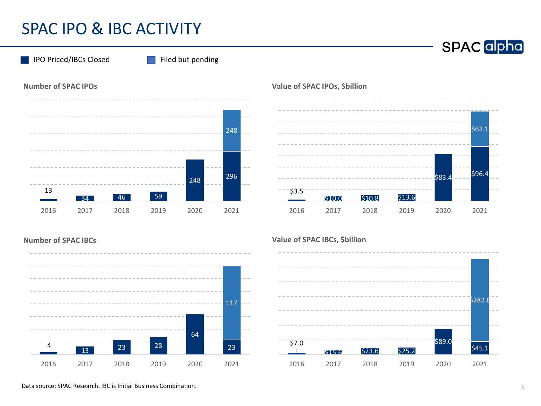## SPAC IPO & IBC ACTIVITY

**Number of SPAC IPOs** IPO Priced/IBCs Closed Filed but pending



#### **Value of SPAC IPOs, \$billion**



#### **Number of SPAC IBCs**



#### **Value of SPAC IBCs, \$billion**

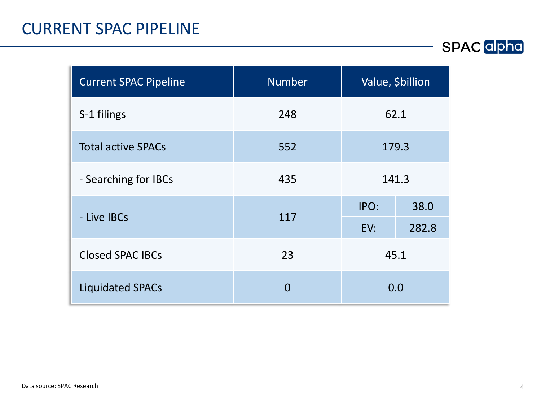#### CURRENT SPAC PIPELINE

| <b>Current SPAC Pipeline</b> | <b>Number</b> | Value, \$billion |       |  |
|------------------------------|---------------|------------------|-------|--|
| S-1 filings                  | 248           | 62.1             |       |  |
| <b>Total active SPACs</b>    | 552           | 179.3            |       |  |
| - Searching for IBCs         | 435           | 141.3            |       |  |
| - Live IBCs                  | 117           | IPO:             | 38.0  |  |
|                              |               | EV:              | 282.8 |  |
| <b>Closed SPAC IBCs</b>      | 23            | 45.1             |       |  |
| <b>Liquidated SPACs</b>      | 0             | 0.0              |       |  |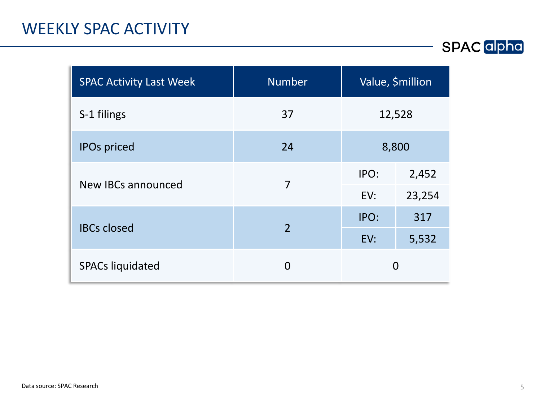#### WEEKLY SPAC ACTIVITY

| <b>SPAC Activity Last Week</b> | <b>Number</b>  | Value, \$million |        |  |  |
|--------------------------------|----------------|------------------|--------|--|--|
| S-1 filings                    | 37             | 12,528           |        |  |  |
| <b>IPOs priced</b>             | 24             | 8,800            |        |  |  |
| New IBCs announced             | 7              | IPO:             | 2,452  |  |  |
|                                |                | EV:              | 23,254 |  |  |
| <b>IBCs closed</b>             | $\overline{2}$ | IPO:             | 317    |  |  |
|                                |                | EV:              | 5,532  |  |  |
| <b>SPACs liquidated</b>        | O              | 0                |        |  |  |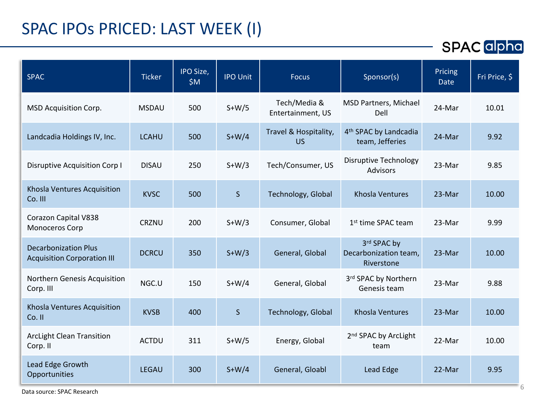## SPAC IPOs PRICED: LAST WEEK (I)

| <b>SPAC</b>                                                       | <b>Ticker</b> | IPO Size,<br>\$M\$ | <b>IPO Unit</b> | <b>Focus</b>                       | Sponsor(s)                                           | Pricing<br>Date | Fri Price, $\overline{S}$ |
|-------------------------------------------------------------------|---------------|--------------------|-----------------|------------------------------------|------------------------------------------------------|-----------------|---------------------------|
| MSD Acquisition Corp.                                             | <b>MSDAU</b>  | 500                | $S+W/5$         | Tech/Media &<br>Entertainment, US  | <b>MSD Partners, Michael</b><br>Dell                 | 24-Mar          | 10.01                     |
| Landcadia Holdings IV, Inc.                                       | <b>LCAHU</b>  | 500                | $S+W/4$         | Travel & Hospitality,<br><b>US</b> | 4 <sup>th</sup> SPAC by Landcadia<br>team, Jefferies | 24-Mar          | 9.92                      |
| Disruptive Acquisition Corp I                                     | <b>DISAU</b>  | 250                | $S+W/3$         | Tech/Consumer, US                  | <b>Disruptive Technology</b><br><b>Advisors</b>      | 23-Mar          | 9.85                      |
| Khosla Ventures Acquisition<br>Co. III                            | <b>KVSC</b>   | 500                | $\mathsf S$     | Technology, Global                 | Khosla Ventures                                      | 23-Mar          | 10.00                     |
| Corazon Capital V838<br>Monoceros Corp                            | <b>CRZNU</b>  | 200                | $S+W/3$         | Consumer, Global                   | 1 <sup>st</sup> time SPAC team                       | 23-Mar          | 9.99                      |
| <b>Decarbonization Plus</b><br><b>Acquisition Corporation III</b> | <b>DCRCU</b>  | 350                | $S+W/3$         | General, Global                    | 3rd SPAC by<br>Decarbonization team,<br>Riverstone   | 23-Mar          | 10.00                     |
| Northern Genesis Acquisition<br>Corp. III                         | NGC.U         | 150                | $S+W/4$         | General, Global                    | 3rd SPAC by Northern<br>Genesis team                 | 23-Mar          | 9.88                      |
| Khosla Ventures Acquisition<br>Co. II                             | <b>KVSB</b>   | 400                | $\mathsf{S}$    | Technology, Global                 | Khosla Ventures                                      | 23-Mar          | 10.00                     |
| <b>ArcLight Clean Transition</b><br>Corp. II                      | <b>ACTDU</b>  | 311                | $S+W/5$         | Energy, Global                     | 2 <sup>nd</sup> SPAC by ArcLight<br>team             | 22-Mar          | 10.00                     |
| Lead Edge Growth<br>Opportunities                                 | <b>LEGAU</b>  | 300                | $S+W/4$         | General, Gloabl                    | Lead Edge                                            | 22-Mar          | 9.95                      |
| Data source: SPAC Research                                        |               |                    |                 |                                    |                                                      |                 |                           |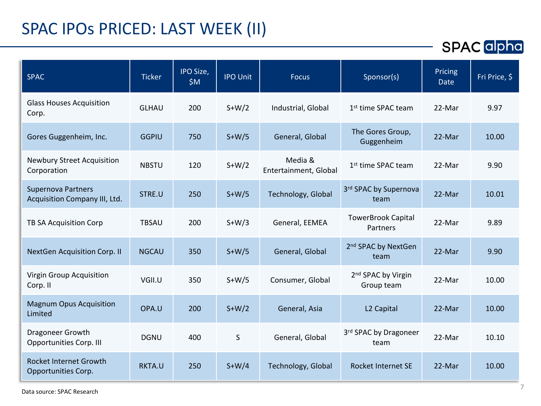## SPAC IPOs PRICED: LAST WEEK (II)

| <b>SPAC</b>                                                | <b>Ticker</b> | IPO Size,<br>\$M\$ | <b>IPO Unit</b> | <b>Focus</b>                     | Sponsor(s)                                   | Pricing<br><b>Date</b> | Fri Price, \$ |
|------------------------------------------------------------|---------------|--------------------|-----------------|----------------------------------|----------------------------------------------|------------------------|---------------|
| <b>Glass Houses Acquisition</b><br>Corp.                   | <b>GLHAU</b>  | 200                | $S+W/2$         | Industrial, Global               | 1 <sup>st</sup> time SPAC team               | 22-Mar                 | 9.97          |
| Gores Guggenheim, Inc.                                     | <b>GGPIU</b>  | 750                | $S+W/5$         | General, Global                  | The Gores Group,<br>Guggenheim               | 22-Mar                 | 10.00         |
| <b>Newbury Street Acquisition</b><br>Corporation           | <b>NBSTU</b>  | 120                | $S+W/2$         | Media &<br>Entertainment, Global | 1 <sup>st</sup> time SPAC team               | 22-Mar                 | 9.90          |
| <b>Supernova Partners</b><br>Acquisition Company III, Ltd. | STRE.U        | 250                | $S+W/5$         | Technology, Global               | 3rd SPAC by Supernova<br>team                | 22-Mar                 | 10.01         |
| TB SA Acquisition Corp                                     | <b>TBSAU</b>  | 200                | $S+W/3$         | General, EEMEA                   | <b>TowerBrook Capital</b><br>Partners        | 22-Mar                 | 9.89          |
| <b>NextGen Acquisition Corp. II</b>                        | <b>NGCAU</b>  | 350                | $S+W/5$         | General, Global                  | 2 <sup>nd</sup> SPAC by NextGen<br>team      | 22-Mar                 | 9.90          |
| Virgin Group Acquisition<br>Corp. II                       | VGII.U        | 350                | $S+W/5$         | Consumer, Global                 | 2 <sup>nd</sup> SPAC by Virgin<br>Group team | 22-Mar                 | 10.00         |
| <b>Magnum Opus Acquisition</b><br>Limited                  | OPA.U         | 200                | $S+W/2$         | General, Asia                    | L <sub>2</sub> Capital                       | 22-Mar                 | 10.00         |
| Dragoneer Growth<br><b>Opportunities Corp. III</b>         | <b>DGNU</b>   | 400                | S               | General, Global                  | 3rd SPAC by Dragoneer<br>team                | 22-Mar                 | 10.10         |
| <b>Rocket Internet Growth</b><br>Opportunities Corp.       | RKTA.U        | 250                | $S+W/4$         | Technology, Global               | <b>Rocket Internet SE</b>                    | 22-Mar                 | 10.00         |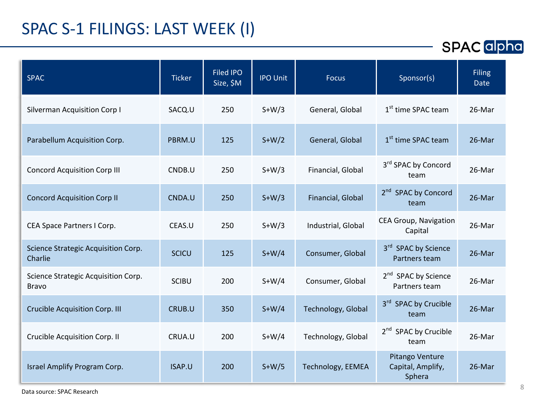## SPAC S-1 FILINGS: LAST WEEK (I)

| <b>Ticker</b> | <b>Filed IPO</b><br>Size, \$M | <b>IPO Unit</b> | <b>Focus</b>       | Sponsor(s)                                       | <b>Filing</b><br>Date |
|---------------|-------------------------------|-----------------|--------------------|--------------------------------------------------|-----------------------|
| SACQ.U        | 250                           | $S+W/3$         | General, Global    | 1 <sup>st</sup> time SPAC team                   | 26-Mar                |
| PBRM.U        | 125                           | $S+W/2$         | General, Global    | 1 <sup>st</sup> time SPAC team                   | 26-Mar                |
| CNDB.U        | 250                           | $S+W/3$         | Financial, Global  | 3rd SPAC by Concord<br>team                      | 26-Mar                |
| CNDA.U        | 250                           | $S+W/3$         | Financial, Global  | 2 <sup>nd</sup> SPAC by Concord<br>team          | 26-Mar                |
| CEAS.U        | 250                           | $S+W/3$         | Industrial, Global | <b>CEA Group, Navigation</b><br>Capital          | 26-Mar                |
| <b>SCICU</b>  | 125                           | $S+W/4$         | Consumer, Global   | 3rd SPAC by Science<br>Partners team             | 26-Mar                |
| <b>SCIBU</b>  | 200                           | $S+W/4$         | Consumer, Global   | 2 <sup>nd</sup> SPAC by Science<br>Partners team | 26-Mar                |
| CRUB.U        | 350                           | $S+W/4$         | Technology, Global | 3rd SPAC by Crucible<br>team                     | 26-Mar                |
| CRUA.U        | 200                           | $S+W/4$         | Technology, Global | 2 <sup>nd</sup> SPAC by Crucible<br>team         | 26-Mar                |
| ISAP.U        | 200                           | $S+W/5$         | Technology, EEMEA  | Pitango Venture<br>Capital, Amplify,<br>Sphera   | 26-Mar                |
|               |                               |                 |                    |                                                  |                       |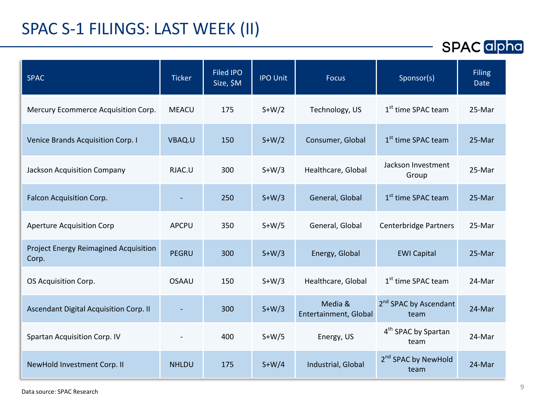# SPAC S-1 FILINGS: LAST WEEK (II)

| <b>SPAC</b> alpha |  |
|-------------------|--|
|-------------------|--|

| <b>SPAC</b>                                           | <b>Ticker</b> | <b>Filed IPO</b><br>Size, \$M | <b>IPO Unit</b> | <b>Focus</b>                     | Sponsor(s)                                | <b>Filing</b><br><b>Date</b> |
|-------------------------------------------------------|---------------|-------------------------------|-----------------|----------------------------------|-------------------------------------------|------------------------------|
| Mercury Ecommerce Acquisition Corp.                   | <b>MEACU</b>  | 175                           | $S+W/2$         | Technology, US                   | 1 <sup>st</sup> time SPAC team            | 25-Mar                       |
| Venice Brands Acquisition Corp. I                     | VBAQ.U        | 150                           | $S+W/2$         | Consumer, Global                 | 1 <sup>st</sup> time SPAC team            | 25-Mar                       |
| Jackson Acquisition Company                           | RJAC.U        | 300                           | $S+W/3$         | Healthcare, Global               | Jackson Investment<br>Group               | 25-Mar                       |
| Falcon Acquisition Corp.                              |               | 250                           | $S+W/3$         | General, Global                  | 1 <sup>st</sup> time SPAC team            | 25-Mar                       |
| <b>Aperture Acquisition Corp</b>                      | APCPU         | 350                           | $S+W/5$         | General, Global                  | <b>Centerbridge Partners</b>              | 25-Mar                       |
| <b>Project Energy Reimagined Acquisition</b><br>Corp. | <b>PEGRU</b>  | 300                           | $S+W/3$         | Energy, Global                   | <b>EWI Capital</b>                        | 25-Mar                       |
| OS Acquisition Corp.                                  | <b>OSAAU</b>  | 150                           | $S+W/3$         | Healthcare, Global               | 1 <sup>st</sup> time SPAC team            | 24-Mar                       |
| Ascendant Digital Acquisition Corp. II                |               | 300                           | $S+W/3$         | Media &<br>Entertainment, Global | 2 <sup>nd</sup> SPAC by Ascendant<br>team | 24-Mar                       |
| <b>Spartan Acquisition Corp. IV</b>                   |               | 400                           | $S+W/5$         | Energy, US                       | 4 <sup>th</sup> SPAC by Spartan<br>team   | 24-Mar                       |
| NewHold Investment Corp. II                           | <b>NHLDU</b>  | 175                           | $S+W/4$         | Industrial, Global               | 2 <sup>nd</sup> SPAC by NewHold<br>team   | 24-Mar                       |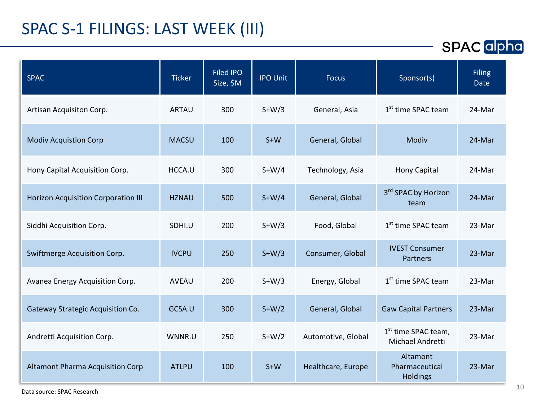## SPAC S-1 FILINGS: LAST WEEK (III)

| <b>SPAC</b>                                | <b>Ticker</b> | <b>Filed IPO</b><br>Size, \$M | <b>IPO Unit</b> | <b>Focus</b>       | Sponsor(s)                                          | <b>Filing</b><br>Date |
|--------------------------------------------|---------------|-------------------------------|-----------------|--------------------|-----------------------------------------------------|-----------------------|
| Artisan Acquisiton Corp.                   | <b>ARTAU</b>  | 300                           | $S+W/3$         | General, Asia      | 1 <sup>st</sup> time SPAC team                      | 24-Mar                |
| <b>Modiv Acquistion Corp</b>               | <b>MACSU</b>  | 100                           | $S+W$           | General, Global    | Modiv                                               | 24-Mar                |
| Hony Capital Acquisition Corp.             | HCCA.U        | 300                           | $S+W/4$         | Technology, Asia   | Hony Capital                                        | 24-Mar                |
| <b>Horizon Acquisition Corporation III</b> | <b>HZNAU</b>  | 500                           | $S+W/4$         | General, Global    | 3 <sup>rd</sup> SPAC by Horizon<br>team             | 24-Mar                |
| Siddhi Acquisition Corp.                   | SDHI.U        | 200                           | $S+W/3$         | Food, Global       | 1 <sup>st</sup> time SPAC team                      | 23-Mar                |
| Swiftmerge Acquisition Corp.               | <b>IVCPU</b>  | 250                           | $S+W/3$         | Consumer, Global   | <b>IVEST Consumer</b><br><b>Partners</b>            | 23-Mar                |
| Avanea Energy Acquisition Corp.            | <b>AVEAU</b>  | 200                           | $S+W/3$         | Energy, Global     | 1 <sup>st</sup> time SPAC team                      | 23-Mar                |
| Gateway Strategic Acquisition Co.          | GCSA.U        | 300                           | $S+W/2$         | General, Global    | <b>Gaw Capital Partners</b>                         | 23-Mar                |
| Andretti Acquisition Corp.                 | WNNR.U        | 250                           | $S+W/2$         | Automotive, Global | 1 <sup>st</sup> time SPAC team,<br>Michael Andretti | 23-Mar                |
| <b>Altamont Pharma Acquisition Corp</b>    | <b>ATLPU</b>  | 100                           | $S+W$           | Healthcare, Europe | Altamont<br>Pharmaceutical<br><b>Holdings</b>       | 23-Mar                |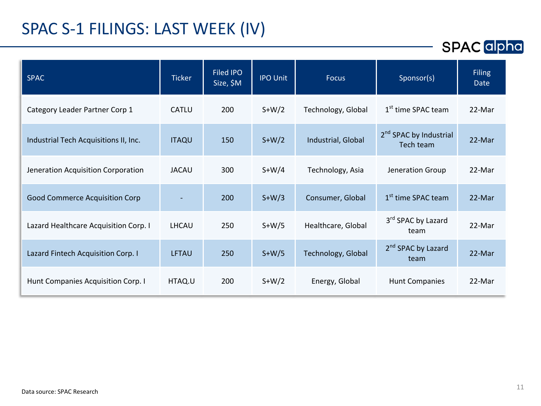### SPAC S-1 FILINGS: LAST WEEK (IV)

| <b>SPAC</b>                           | <b>Ticker</b> | Filed IPO<br>Size, \$M | <b>IPO Unit</b> | <b>Focus</b>       | Sponsor(s)                                      | <b>Filing</b><br>Date |
|---------------------------------------|---------------|------------------------|-----------------|--------------------|-------------------------------------------------|-----------------------|
| Category Leader Partner Corp 1        | CATLU         | 200                    | $S+W/2$         | Technology, Global | 1 <sup>st</sup> time SPAC team                  | 22-Mar                |
| Industrial Tech Acquisitions II, Inc. | <b>ITAQU</b>  | 150                    | $S+W/2$         | Industrial, Global | 2 <sup>nd</sup> SPAC by Industrial<br>Tech team | 22-Mar                |
| Jeneration Acquisition Corporation    | <b>JACAU</b>  | 300                    | $S+W/4$         | Technology, Asia   | Jeneration Group                                | 22-Mar                |
| <b>Good Commerce Acquisition Corp</b> |               | 200                    | $S+W/3$         | Consumer, Global   | 1 <sup>st</sup> time SPAC team                  | 22-Mar                |
| Lazard Healthcare Acquisition Corp. I | LHCAU         | 250                    | $S+W/5$         | Healthcare, Global | 3rd SPAC by Lazard<br>team                      | 22-Mar                |
| Lazard Fintech Acquisition Corp. I    | <b>LFTAU</b>  | 250                    | $S+W/5$         | Technology, Global | 2 <sup>nd</sup> SPAC by Lazard<br>team          | 22-Mar                |
| Hunt Companies Acquisition Corp. I    | HTAQ.U        | 200                    | $S+W/2$         | Energy, Global     | <b>Hunt Companies</b>                           | 22-Mar                |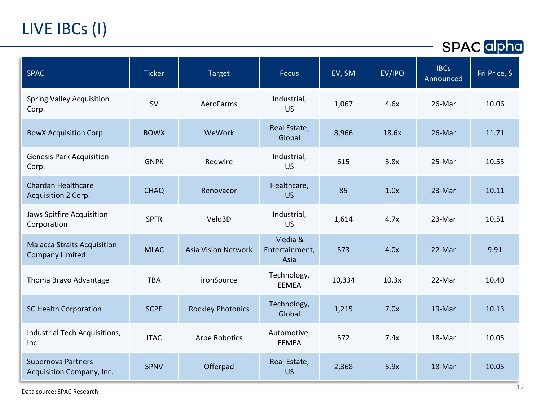# LIVE IBCs (I)

**SPAC** alpha

| <b>SPAC</b>                                                  | <b>Ticker</b> | <b>Target</b>              | <b>Focus</b>                      | EV, \$M | EV/IPO | <b>IBCs</b><br>Announced | Fri Price, \$ |
|--------------------------------------------------------------|---------------|----------------------------|-----------------------------------|---------|--------|--------------------------|---------------|
| <b>Spring Valley Acquisition</b><br>Corp.                    | SV            | AeroFarms                  | Industrial,<br><b>US</b>          | 1,067   | 4.6x   | 26-Mar                   | 10.06         |
| <b>BowX Acquisition Corp.</b>                                | <b>BOWX</b>   | WeWork                     | Real Estate,<br>Global            | 8,966   | 18.6x  | 26-Mar                   | 11.71         |
| <b>Genesis Park Acquisition</b><br>Corp.                     | <b>GNPK</b>   | Redwire                    | Industrial,<br>US                 | 615     | 3.8x   | 25-Mar                   | 10.55         |
| <b>Chardan Healthcare</b><br>Acquisition 2 Corp.             | <b>CHAQ</b>   | Renovacor                  | Healthcare,<br><b>US</b>          | 85      | 1.0x   | 23-Mar                   | 10.11         |
| Jaws Spitfire Acquisition<br>Corporation                     | <b>SPFR</b>   | Velo3D                     | Industrial,<br><b>US</b>          | 1,614   | 4.7x   | 23-Mar                   | 10.51         |
| <b>Malacca Straits Acquisition</b><br><b>Company Limited</b> | <b>MLAC</b>   | <b>Asia Vision Network</b> | Media &<br>Entertainment,<br>Asia | 573     | 4.0x   | 22-Mar                   | 9.91          |
| Thoma Bravo Advantage                                        | <b>TBA</b>    | ironSource                 | Technology,<br>EEMEA              | 10,334  | 10.3x  | 22-Mar                   | 10.40         |
| <b>SC Health Corporation</b>                                 | <b>SCPE</b>   | <b>Rockley Photonics</b>   | Technology,<br>Global             | 1,215   | 7.0x   | 19-Mar                   | 10.13         |
| Industrial Tech Acquisitions,<br>Inc.                        | <b>ITAC</b>   | <b>Arbe Robotics</b>       | Automotive,<br><b>EEMEA</b>       | 572     | 7.4x   | 18-Mar                   | 10.05         |
| <b>Supernova Partners</b><br>Acquisition Company, Inc.       | <b>SPNV</b>   | Offerpad                   | Real Estate,<br><b>US</b>         | 2,368   | 5.9x   | 18-Mar                   | 10.05         |

<sup>12</sup> Data source: SPAC Research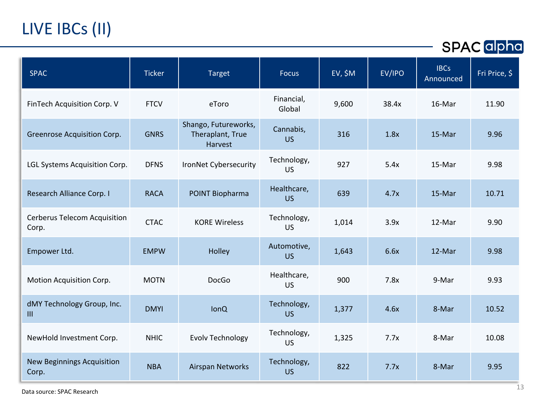# LIVE IBCs (II)

| <b>SPAC</b>                                  | <b>Ticker</b> | <b>Target</b>                                       | <b>Focus</b>             | EV, \$M | EV/IPO | <b>IBCs</b><br>Announced | Fri Price, \$ |
|----------------------------------------------|---------------|-----------------------------------------------------|--------------------------|---------|--------|--------------------------|---------------|
| FinTech Acquisition Corp. V                  | <b>FTCV</b>   | eToro                                               | Financial,<br>Global     | 9,600   | 38.4x  | 16-Mar                   | 11.90         |
| Greenrose Acquisition Corp.                  | <b>GNRS</b>   | Shango, Futureworks,<br>Theraplant, True<br>Harvest | Cannabis,<br><b>US</b>   | 316     | 1.8x   | 15-Mar                   | 9.96          |
| LGL Systems Acquisition Corp.                | <b>DFNS</b>   | IronNet Cybersecurity                               | Technology,<br><b>US</b> | 927     | 5.4x   | 15-Mar                   | 9.98          |
| Research Alliance Corp. I                    | <b>RACA</b>   | POINT Biopharma                                     | Healthcare,<br><b>US</b> | 639     | 4.7x   | 15-Mar                   | 10.71         |
| <b>Cerberus Telecom Acquisition</b><br>Corp. | <b>CTAC</b>   | <b>KORE Wireless</b>                                | Technology,<br>US        | 1,014   | 3.9x   | 12-Mar                   | 9.90          |
| Empower Ltd.                                 | <b>EMPW</b>   | Holley                                              | Automotive,<br><b>US</b> | 1,643   | 6.6x   | 12-Mar                   | 9.98          |
| Motion Acquisition Corp.                     | <b>MOTN</b>   | DocGo                                               | Healthcare,<br><b>US</b> | 900     | 7.8x   | 9-Mar                    | 9.93          |
| dMY Technology Group, Inc.<br>III            | <b>DMYI</b>   | <b>lonQ</b>                                         | Technology,<br><b>US</b> | 1,377   | 4.6x   | 8-Mar                    | 10.52         |
| NewHold Investment Corp.                     | <b>NHIC</b>   | <b>Evolv Technology</b>                             | Technology,<br><b>US</b> | 1,325   | 7.7x   | 8-Mar                    | 10.08         |
| <b>New Beginnings Acquisition</b><br>Corp.   | <b>NBA</b>    | Airspan Networks                                    | Technology,<br><b>US</b> | 822     | 7.7x   | 8-Mar                    | 9.95          |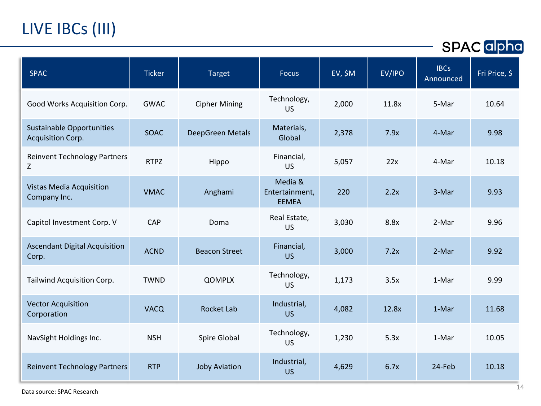# LIVE IBCs (III)

| <b>SPAC</b>                                           | <b>Ticker</b> | <b>Target</b>        | <b>Focus</b>                              | $EV, \$M$ | EV/IPO | <b>IBCs</b><br>Announced | Fri Price, \$ |
|-------------------------------------------------------|---------------|----------------------|-------------------------------------------|-----------|--------|--------------------------|---------------|
| Good Works Acquisition Corp.                          | <b>GWAC</b>   | <b>Cipher Mining</b> | Technology,<br><b>US</b>                  | 2,000     | 11.8x  | 5-Mar                    | 10.64         |
| <b>Sustainable Opportunities</b><br>Acquisition Corp. | <b>SOAC</b>   | DeepGreen Metals     | Materials,<br>Global                      | 2,378     | 7.9x   | 4-Mar                    | 9.98          |
| <b>Reinvent Technology Partners</b><br>Z              | <b>RTPZ</b>   | Hippo                | Financial,<br>US                          | 5,057     | 22x    | 4-Mar                    | 10.18         |
| Vistas Media Acquisition<br>Company Inc.              | <b>VMAC</b>   | Anghami              | Media &<br>Entertainment,<br><b>EEMEA</b> | 220       | 2.2x   | 3-Mar                    | 9.93          |
| Capitol Investment Corp. V                            | CAP           | Doma                 | Real Estate,<br><b>US</b>                 | 3,030     | 8.8x   | 2-Mar                    | 9.96          |
| <b>Ascendant Digital Acquisition</b><br>Corp.         | <b>ACND</b>   | <b>Beacon Street</b> | Financial,<br><b>US</b>                   | 3,000     | 7.2x   | 2-Mar                    | 9.92          |
| Tailwind Acquisition Corp.                            | <b>TWND</b>   | <b>QOMPLX</b>        | Technology,<br><b>US</b>                  | 1,173     | 3.5x   | 1-Mar                    | 9.99          |
| <b>Vector Acquisition</b><br>Corporation              | <b>VACQ</b>   | Rocket Lab           | Industrial,<br><b>US</b>                  | 4,082     | 12.8x  | 1-Mar                    | 11.68         |
| NavSight Holdings Inc.                                | <b>NSH</b>    | Spire Global         | Technology,<br><b>US</b>                  | 1,230     | 5.3x   | 1-Mar                    | 10.05         |
| <b>Reinvent Technology Partners</b>                   | <b>RTP</b>    | <b>Joby Aviation</b> | Industrial,<br><b>US</b>                  | 4,629     | 6.7x   | 24-Feb                   | 10.18         |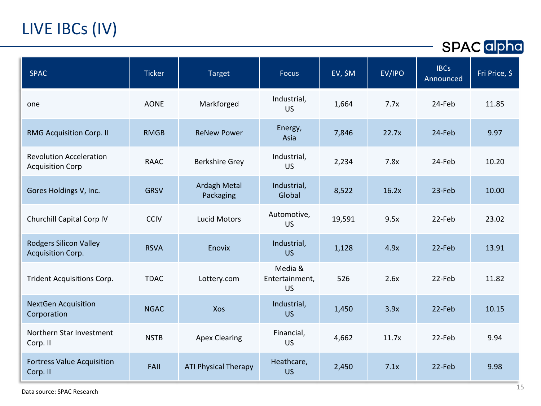# LIVE IBCs (IV)

| <b>SPAC</b>                                               | <b>Ticker</b> | <b>Target</b>                    | <b>Focus</b>                     | EV, \$M | EV/IPO | <b>IBCs</b><br>Announced | Fri Price, \$ |
|-----------------------------------------------------------|---------------|----------------------------------|----------------------------------|---------|--------|--------------------------|---------------|
| one                                                       | <b>AONE</b>   | Markforged                       | Industrial,<br>US.               | 1,664   | 7.7x   | 24-Feb                   | 11.85         |
| <b>RMG Acquisition Corp. II</b>                           | <b>RMGB</b>   | <b>ReNew Power</b>               | Energy,<br>Asia                  | 7,846   | 22.7x  | 24-Feb                   | 9.97          |
| <b>Revolution Acceleration</b><br><b>Acquisition Corp</b> | <b>RAAC</b>   | <b>Berkshire Grey</b>            | Industrial,<br><b>US</b>         | 2,234   | 7.8x   | 24-Feb                   | 10.20         |
| Gores Holdings V, Inc.                                    | <b>GRSV</b>   | <b>Ardagh Metal</b><br>Packaging | Industrial,<br>Global            | 8,522   | 16.2x  | 23-Feb                   | 10.00         |
| Churchill Capital Corp IV                                 | <b>CCIV</b>   | <b>Lucid Motors</b>              | Automotive,<br>US.               | 19,591  | 9.5x   | 22-Feb                   | 23.02         |
| <b>Rodgers Silicon Valley</b><br><b>Acquisition Corp.</b> | <b>RSVA</b>   | Enovix                           | Industrial,<br><b>US</b>         | 1,128   | 4.9x   | 22-Feb                   | 13.91         |
| <b>Trident Acquisitions Corp.</b>                         | <b>TDAC</b>   | Lottery.com                      | Media &<br>Entertainment,<br>US. | 526     | 2.6x   | 22-Feb                   | 11.82         |
| <b>NextGen Acquisition</b><br>Corporation                 | <b>NGAC</b>   | Xos                              | Industrial,<br>US.               | 1,450   | 3.9x   | 22-Feb                   | 10.15         |
| Northern Star Investment<br>Corp. II                      | <b>NSTB</b>   | <b>Apex Clearing</b>             | Financial,<br><b>US</b>          | 4,662   | 11.7x  | 22-Feb                   | 9.94          |
| <b>Fortress Value Acquisition</b><br>Corp. II             | <b>FAII</b>   | <b>ATI Physical Therapy</b>      | Heathcare,<br><b>US</b>          | 2,450   | 7.1x   | 22-Feb                   | 9.98          |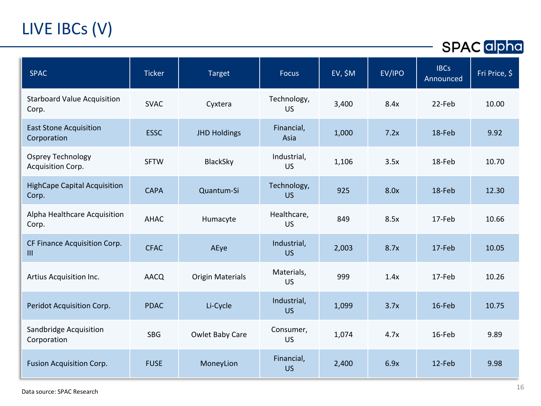# LIVE IBCs (V)

| <b>SPAC</b>                                   | <b>Ticker</b> | <b>Target</b>           | <b>Focus</b>             | EV, \$M | EV/IPO | <b>IBCs</b><br>Announced | Fri Price, \$ |
|-----------------------------------------------|---------------|-------------------------|--------------------------|---------|--------|--------------------------|---------------|
| <b>Starboard Value Acquisition</b><br>Corp.   | <b>SVAC</b>   | Cyxtera                 | Technology,<br>US        | 3,400   | 8.4x   | 22-Feb                   | 10.00         |
| <b>East Stone Acquisition</b><br>Corporation  | <b>ESSC</b>   | <b>JHD Holdings</b>     | Financial,<br>Asia       | 1,000   | 7.2x   | 18-Feb                   | 9.92          |
| <b>Osprey Technology</b><br>Acquisition Corp. | <b>SFTW</b>   | BlackSky                | Industrial,<br><b>US</b> | 1,106   | 3.5x   | 18-Feb                   | 10.70         |
| <b>HighCape Capital Acquisition</b><br>Corp.  | <b>CAPA</b>   | Quantum-Si              | Technology,<br><b>US</b> | 925     | 8.0x   | 18-Feb                   | 12.30         |
| Alpha Healthcare Acquisition<br>Corp.         | <b>AHAC</b>   | Humacyte                | Healthcare,<br><b>US</b> | 849     | 8.5x   | 17-Feb                   | 10.66         |
| CF Finance Acquisition Corp.<br>III           | <b>CFAC</b>   | AEye                    | Industrial,<br><b>US</b> | 2,003   | 8.7x   | 17-Feb                   | 10.05         |
| Artius Acquisition Inc.                       | AACQ          | <b>Origin Materials</b> | Materials,<br><b>US</b>  | 999     | 1.4x   | 17-Feb                   | 10.26         |
| Peridot Acquisition Corp.                     | <b>PDAC</b>   | Li-Cycle                | Industrial,<br><b>US</b> | 1,099   | 3.7x   | 16-Feb                   | 10.75         |
| Sandbridge Acquisition<br>Corporation         | <b>SBG</b>    | Owlet Baby Care         | Consumer,<br><b>US</b>   | 1,074   | 4.7x   | 16-Feb                   | 9.89          |
| <b>Fusion Acquisition Corp.</b>               | <b>FUSE</b>   | MoneyLion               | Financial,<br><b>US</b>  | 2,400   | 6.9x   | 12-Feb                   | 9.98          |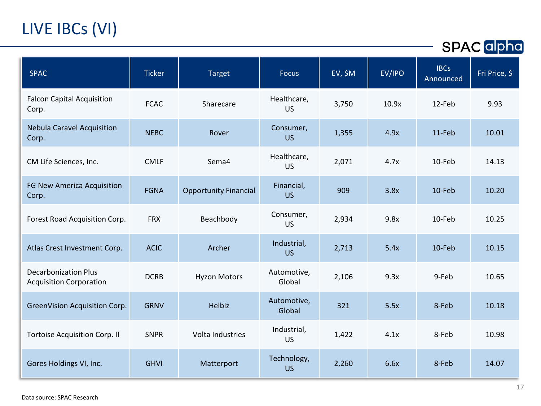# LIVE IBCs (VI)

| <b>SPAC</b>                                                   | <b>Ticker</b> | <b>Target</b>                | <b>Focus</b>             | EV, \$M | EV/IPO | <b>IBCs</b><br>Announced | Fri Price, \$ |
|---------------------------------------------------------------|---------------|------------------------------|--------------------------|---------|--------|--------------------------|---------------|
| <b>Falcon Capital Acquisition</b><br>Corp.                    | <b>FCAC</b>   | Sharecare                    | Healthcare,<br><b>US</b> | 3,750   | 10.9x  | 12-Feb                   | 9.93          |
| <b>Nebula Caravel Acquisition</b><br>Corp.                    | <b>NEBC</b>   | Rover                        | Consumer,<br><b>US</b>   | 1,355   | 4.9x   | 11-Feb                   | 10.01         |
| CM Life Sciences, Inc.                                        | <b>CMLF</b>   | Sema4                        | Healthcare,<br><b>US</b> | 2,071   | 4.7x   | 10-Feb                   | 14.13         |
| FG New America Acquisition<br>Corp.                           | <b>FGNA</b>   | <b>Opportunity Financial</b> | Financial,<br><b>US</b>  | 909     | 3.8x   | 10-Feb                   | 10.20         |
| Forest Road Acquisition Corp.                                 | <b>FRX</b>    | Beachbody                    | Consumer,<br><b>US</b>   | 2,934   | 9.8x   | 10-Feb                   | 10.25         |
| Atlas Crest Investment Corp.                                  | <b>ACIC</b>   | Archer                       | Industrial,<br><b>US</b> | 2,713   | 5.4x   | 10-Feb                   | 10.15         |
| <b>Decarbonization Plus</b><br><b>Acquisition Corporation</b> | <b>DCRB</b>   | <b>Hyzon Motors</b>          | Automotive,<br>Global    | 2,106   | 9.3x   | 9-Feb                    | 10.65         |
| GreenVision Acquisition Corp.                                 | <b>GRNV</b>   | Helbiz                       | Automotive,<br>Global    | 321     | 5.5x   | 8-Feb                    | 10.18         |
| <b>Tortoise Acquisition Corp. II</b>                          | <b>SNPR</b>   | Volta Industries             | Industrial,<br><b>US</b> | 1,422   | 4.1x   | 8-Feb                    | 10.98         |
| Gores Holdings VI, Inc.                                       | <b>GHVI</b>   | Matterport                   | Technology,<br><b>US</b> | 2,260   | 6.6x   | 8-Feb                    | 14.07         |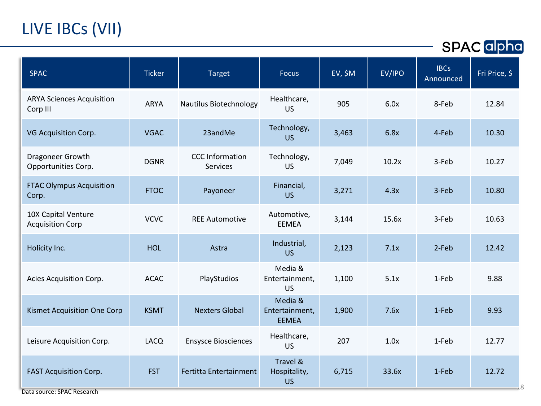# LIVE IBCs (VII)

| <b>SPAC</b>                                                 | <b>Ticker</b> | <b>Target</b>                      | Focus                                     | $EV, \$M$ | EV/IPO | <b>IBCs</b><br>Announced | Fri Price, \$ |
|-------------------------------------------------------------|---------------|------------------------------------|-------------------------------------------|-----------|--------|--------------------------|---------------|
| <b>ARYA Sciences Acquisition</b><br>Corp III                | <b>ARYA</b>   | Nautilus Biotechnology             | Healthcare,<br><b>US</b>                  | 905       | 6.0x   | 8-Feb                    | 12.84         |
| VG Acquisition Corp.                                        | <b>VGAC</b>   | 23andMe                            | Technology,<br><b>US</b>                  | 3,463     | 6.8x   | 4-Feb                    | 10.30         |
| Dragoneer Growth<br>Opportunities Corp.                     | <b>DGNR</b>   | <b>CCC</b> Information<br>Services | Technology,<br><b>US</b>                  | 7,049     | 10.2x  | 3-Feb                    | 10.27         |
| <b>FTAC Olympus Acquisition</b><br>Corp.                    | <b>FTOC</b>   | Payoneer                           | Financial,<br><b>US</b>                   | 3,271     | 4.3x   | 3-Feb                    | 10.80         |
| 10X Capital Venture<br><b>Acquisition Corp</b>              | <b>VCVC</b>   | <b>REE Automotive</b>              | Automotive,<br><b>EEMEA</b>               | 3,144     | 15.6x  | 3-Feb                    | 10.63         |
| Holicity Inc.                                               | <b>HOL</b>    | Astra                              | Industrial,<br><b>US</b>                  | 2,123     | 7.1x   | 2-Feb                    | 12.42         |
| Acies Acquisition Corp.                                     | <b>ACAC</b>   | PlayStudios                        | Media &<br>Entertainment,<br><b>US</b>    | 1,100     | 5.1x   | 1-Feb                    | 9.88          |
| Kismet Acquisition One Corp                                 | <b>KSMT</b>   | <b>Nexters Global</b>              | Media &<br>Entertainment,<br><b>EEMEA</b> | 1,900     | 7.6x   | 1-Feb                    | 9.93          |
| Leisure Acquisition Corp.                                   | <b>LACQ</b>   | <b>Ensysce Biosciences</b>         | Healthcare,<br><b>US</b>                  | 207       | 1.0x   | 1-Feb                    | 12.77         |
| <b>FAST Acquisition Corp.</b><br>Data source: SPAC Research | <b>FST</b>    | Fertitta Entertainment             | Travel &<br>Hospitality,<br><b>US</b>     | 6,715     | 33.6x  | 1-Feb                    | 12.72         |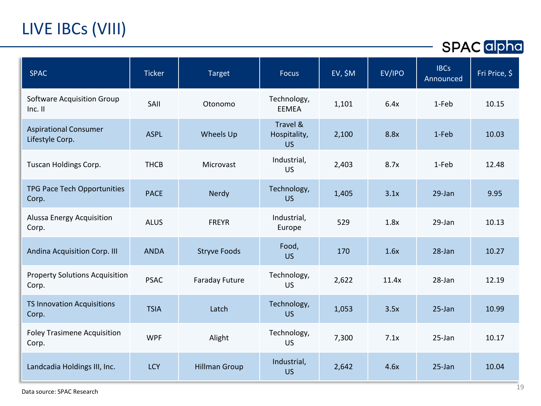# LIVE IBCs (VIII)

| <b>SPAC</b>                                     | <b>Ticker</b> | <b>Target</b>         | <b>Focus</b>                          | $EV, \$M$ | EV/IPO | <b>IBCs</b><br>Announced | Fri Price, \$ |
|-------------------------------------------------|---------------|-----------------------|---------------------------------------|-----------|--------|--------------------------|---------------|
| <b>Software Acquisition Group</b><br>Inc. II    | SAII          | Otonomo               | Technology,<br><b>EEMEA</b>           | 1,101     | 6.4x   | 1-Feb                    | 10.15         |
| <b>Aspirational Consumer</b><br>Lifestyle Corp. | <b>ASPL</b>   | Wheels Up             | Travel &<br>Hospitality,<br><b>US</b> | 2,100     | 8.8x   | 1-Feb                    | 10.03         |
| Tuscan Holdings Corp.                           | <b>THCB</b>   | Microvast             | Industrial,<br>US.                    | 2,403     | 8.7x   | 1-Feb                    | 12.48         |
| TPG Pace Tech Opportunities<br>Corp.            | <b>PACE</b>   | Nerdy                 | Technology,<br><b>US</b>              | 1,405     | 3.1x   | 29-Jan                   | 9.95          |
| Alussa Energy Acquisition<br>Corp.              | <b>ALUS</b>   | <b>FREYR</b>          | Industrial,<br>Europe                 | 529       | 1.8x   | 29-Jan                   | 10.13         |
| Andina Acquisition Corp. III                    | <b>ANDA</b>   | <b>Stryve Foods</b>   | Food,<br><b>US</b>                    | 170       | 1.6x   | 28-Jan                   | 10.27         |
| <b>Property Solutions Acquisition</b><br>Corp.  | <b>PSAC</b>   | <b>Faraday Future</b> | Technology,<br><b>US</b>              | 2,622     | 11.4x  | 28-Jan                   | 12.19         |
| <b>TS Innovation Acquisitions</b><br>Corp.      | <b>TSIA</b>   | Latch                 | Technology,<br><b>US</b>              | 1,053     | 3.5x   | 25-Jan                   | 10.99         |
| <b>Foley Trasimene Acquisition</b><br>Corp.     | <b>WPF</b>    | Alight                | Technology,<br><b>US</b>              | 7,300     | 7.1x   | $25$ -Jan                | 10.17         |
| Landcadia Holdings III, Inc.                    | <b>LCY</b>    | <b>Hillman Group</b>  | Industrial,<br><b>US</b>              | 2,642     | 4.6x   | $25 - Jan$               | 10.04         |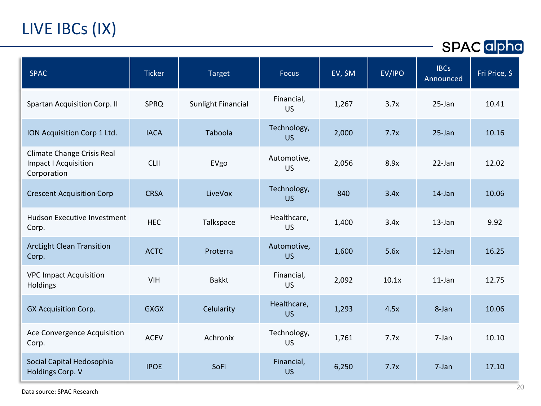# LIVE IBCs (IX)

| <b>SPAC</b>                                                                     | <b>Ticker</b> | <b>Target</b>             | <b>Focus</b>             | EV, \$M | EV/IPO | <b>IBCs</b><br>Announced | Fri Price, $\overline{\$}$ |
|---------------------------------------------------------------------------------|---------------|---------------------------|--------------------------|---------|--------|--------------------------|----------------------------|
| <b>Spartan Acquisition Corp. II</b>                                             | <b>SPRQ</b>   | <b>Sunlight Financial</b> | Financial,<br><b>US</b>  | 1,267   | 3.7x   | 25-Jan                   | 10.41                      |
| ION Acquisition Corp 1 Ltd.                                                     | <b>IACA</b>   | Taboola                   | Technology,<br><b>US</b> | 2,000   | 7.7x   | $25$ -Jan                | 10.16                      |
| <b>Climate Change Crisis Real</b><br><b>Impact I Acquisition</b><br>Corporation | CLII          | EVgo                      | Automotive,<br><b>US</b> | 2,056   | 8.9x   | $22$ -Jan                | 12.02                      |
| <b>Crescent Acquisition Corp</b>                                                | <b>CRSA</b>   | LiveVox                   | Technology,<br><b>US</b> | 840     | 3.4x   | $14$ -Jan                | 10.06                      |
| Hudson Executive Investment<br>Corp.                                            | <b>HEC</b>    | Talkspace                 | Healthcare,<br><b>US</b> | 1,400   | 3.4x   | $13$ -Jan                | 9.92                       |
| <b>ArcLight Clean Transition</b><br>Corp.                                       | <b>ACTC</b>   | Proterra                  | Automotive,<br><b>US</b> | 1,600   | 5.6x   | $12$ -Jan                | 16.25                      |
| <b>VPC Impact Acquisition</b><br>Holdings                                       | <b>VIH</b>    | <b>Bakkt</b>              | Financial,<br><b>US</b>  | 2,092   | 10.1x  | $11$ -Jan                | 12.75                      |
| <b>GX Acquisition Corp.</b>                                                     | <b>GXGX</b>   | Celularity                | Healthcare,<br><b>US</b> | 1,293   | 4.5x   | 8-Jan                    | 10.06                      |
| Ace Convergence Acquisition<br>Corp.                                            | <b>ACEV</b>   | Achronix                  | Technology,<br><b>US</b> | 1,761   | 7.7x   | 7-Jan                    | 10.10                      |
| Social Capital Hedosophia<br>Holdings Corp. V                                   | <b>IPOE</b>   | SoFi                      | Financial,<br><b>US</b>  | 6,250   | 7.7x   | 7-Jan                    | 17.10                      |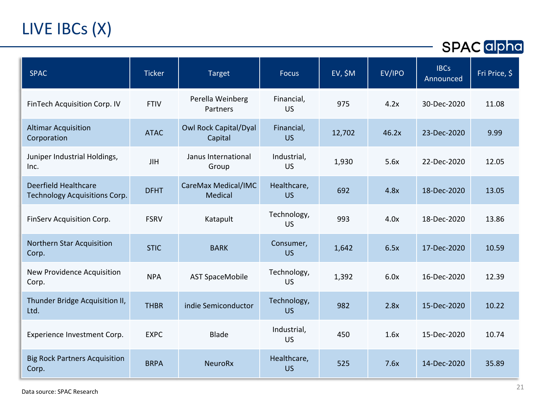# LIVE IBCs (X)

| <b>SPAC</b>                                           | <b>Ticker</b> | <b>Target</b>                           | <b>Focus</b>             | EV, \$M | EV/IPO | <b>IBCs</b><br>Announced | Fri Price, \$ |
|-------------------------------------------------------|---------------|-----------------------------------------|--------------------------|---------|--------|--------------------------|---------------|
| FinTech Acquisition Corp. IV                          | <b>FTIV</b>   | Perella Weinberg<br>Partners            | Financial,<br>US         | 975     | 4.2x   | 30-Dec-2020              | 11.08         |
| <b>Altimar Acquisition</b><br>Corporation             | <b>ATAC</b>   | <b>Owl Rock Capital/Dyal</b><br>Capital | Financial,<br><b>US</b>  | 12,702  | 46.2x  | 23-Dec-2020              | 9.99          |
| Juniper Industrial Holdings,<br>Inc.                  | <b>JIH</b>    | Janus International<br>Group            | Industrial,<br><b>US</b> | 1,930   | 5.6x   | 22-Dec-2020              | 12.05         |
| Deerfield Healthcare<br>Technology Acquisitions Corp. | <b>DFHT</b>   | CareMax Medical/IMC<br>Medical          | Healthcare,<br><b>US</b> | 692     | 4.8x   | 18-Dec-2020              | 13.05         |
| FinServ Acquisition Corp.                             | <b>FSRV</b>   | Katapult                                | Technology,<br>US        | 993     | 4.0x   | 18-Dec-2020              | 13.86         |
| Northern Star Acquisition<br>Corp.                    | <b>STIC</b>   | <b>BARK</b>                             | Consumer,<br><b>US</b>   | 1,642   | 6.5x   | 17-Dec-2020              | 10.59         |
| New Providence Acquisition<br>Corp.                   | <b>NPA</b>    | <b>AST SpaceMobile</b>                  | Technology,<br>US        | 1,392   | 6.0x   | 16-Dec-2020              | 12.39         |
| Thunder Bridge Acquisition II,<br>Ltd.                | <b>THBR</b>   | indie Semiconductor                     | Technology,<br><b>US</b> | 982     | 2.8x   | 15-Dec-2020              | 10.22         |
| Experience Investment Corp.                           | <b>EXPC</b>   | <b>Blade</b>                            | Industrial,<br><b>US</b> | 450     | 1.6x   | 15-Dec-2020              | 10.74         |
| <b>Big Rock Partners Acquisition</b><br>Corp.         | <b>BRPA</b>   | <b>NeuroRx</b>                          | Healthcare,<br><b>US</b> | 525     | 7.6x   | 14-Dec-2020              | 35.89         |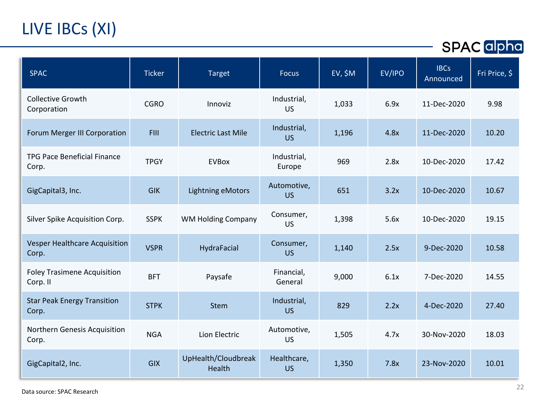# LIVE IBCs (XI)

| <b>SPAC</b>                                    | <b>Ticker</b> | <b>Target</b>                 | <b>Focus</b>             | $EV, \$M$ | EV/IPO | <b>IBCs</b><br>Announced | Fri Price, \$ |
|------------------------------------------------|---------------|-------------------------------|--------------------------|-----------|--------|--------------------------|---------------|
| <b>Collective Growth</b><br>Corporation        | <b>CGRO</b>   | Innoviz                       | Industrial,<br><b>US</b> | 1,033     | 6.9x   | 11-Dec-2020              | 9.98          |
| Forum Merger III Corporation                   | <b>FIII</b>   | <b>Electric Last Mile</b>     | Industrial,<br><b>US</b> | 1,196     | 4.8x   | 11-Dec-2020              | 10.20         |
| <b>TPG Pace Beneficial Finance</b><br>Corp.    | <b>TPGY</b>   | <b>EVBox</b>                  | Industrial,<br>Europe    | 969       | 2.8x   | 10-Dec-2020              | 17.42         |
| GigCapital3, Inc.                              | <b>GIK</b>    | <b>Lightning eMotors</b>      | Automotive,<br><b>US</b> | 651       | 3.2x   | 10-Dec-2020              | 10.67         |
| Silver Spike Acquisition Corp.                 | <b>SSPK</b>   | <b>WM Holding Company</b>     | Consumer,<br><b>US</b>   | 1,398     | 5.6x   | 10-Dec-2020              | 19.15         |
| Vesper Healthcare Acquisition<br>Corp.         | <b>VSPR</b>   | HydraFacial                   | Consumer,<br><b>US</b>   | 1,140     | 2.5x   | 9-Dec-2020               | 10.58         |
| <b>Foley Trasimene Acquisition</b><br>Corp. II | <b>BFT</b>    | Paysafe                       | Financial,<br>General    | 9,000     | 6.1x   | 7-Dec-2020               | 14.55         |
| <b>Star Peak Energy Transition</b><br>Corp.    | <b>STPK</b>   | <b>Stem</b>                   | Industrial,<br><b>US</b> | 829       | 2.2x   | 4-Dec-2020               | 27.40         |
| Northern Genesis Acquisition<br>Corp.          | <b>NGA</b>    | Lion Electric                 | Automotive,<br><b>US</b> | 1,505     | 4.7x   | 30-Nov-2020              | 18.03         |
| GigCapital2, Inc.                              | <b>GIX</b>    | UpHealth/Cloudbreak<br>Health | Healthcare,<br><b>US</b> | 1,350     | 7.8x   | 23-Nov-2020              | 10.01         |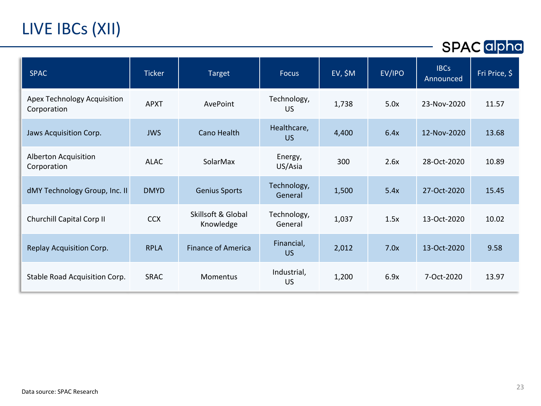# LIVE IBCs (XII)

| <b>SPAC</b>                                | <b>Ticker</b> | <b>Target</b>                   | <b>Focus</b>             | $EV,$ \$M | EV/IPO | <b>IBCs</b><br>Announced | Fri Price, \$ |
|--------------------------------------------|---------------|---------------------------------|--------------------------|-----------|--------|--------------------------|---------------|
| Apex Technology Acquisition<br>Corporation | <b>APXT</b>   | AvePoint                        | Technology,<br><b>US</b> | 1,738     | 5.0x   | 23-Nov-2020              | 11.57         |
| Jaws Acquisition Corp.                     | <b>JWS</b>    | Cano Health                     | Healthcare,<br><b>US</b> | 4,400     | 6.4x   | 12-Nov-2020              | 13.68         |
| Alberton Acquisition<br>Corporation        | <b>ALAC</b>   | SolarMax                        | Energy,<br>US/Asia       | 300       | 2.6x   | 28-Oct-2020              | 10.89         |
| dMY Technology Group, Inc. II              | <b>DMYD</b>   | <b>Genius Sports</b>            | Technology,<br>General   | 1,500     | 5.4x   | 27-Oct-2020              | 15.45         |
| Churchill Capital Corp II                  | <b>CCX</b>    | Skillsoft & Global<br>Knowledge | Technology,<br>General   | 1,037     | 1.5x   | 13-Oct-2020              | 10.02         |
| Replay Acquisition Corp.                   | <b>RPLA</b>   | <b>Finance of America</b>       | Financial,<br><b>US</b>  | 2,012     | 7.0x   | 13-Oct-2020              | 9.58          |
| Stable Road Acquisition Corp.              | <b>SRAC</b>   | Momentus                        | Industrial,<br><b>US</b> | 1,200     | 6.9x   | 7-Oct-2020               | 13.97         |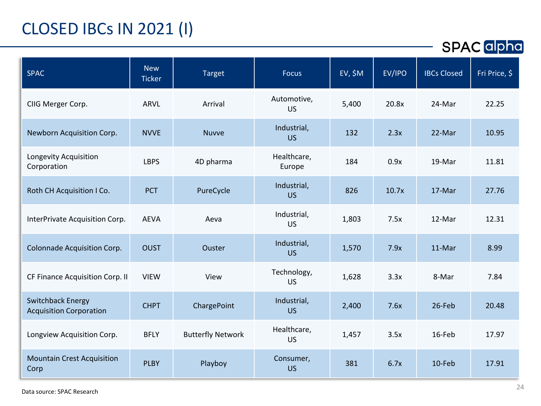## CLOSED IBCs IN 2021 (I)

| <b>SPAC</b>                                                | <b>New</b><br><b>Ticker</b> | Target                   | <b>Focus</b>             | $EV, \$M$ | EV/IPO | <b>IBCs Closed</b> | Fri Price, \$ |
|------------------------------------------------------------|-----------------------------|--------------------------|--------------------------|-----------|--------|--------------------|---------------|
| CIIG Merger Corp.                                          | <b>ARVL</b>                 | Arrival                  | Automotive,<br><b>US</b> | 5,400     | 20.8x  | 24-Mar             | 22.25         |
| Newborn Acquisition Corp.                                  | <b>NVVE</b>                 | <b>Nuvve</b>             | Industrial,<br><b>US</b> | 132       | 2.3x   | 22-Mar             | 10.95         |
| Longevity Acquisition<br>Corporation                       | <b>LBPS</b>                 | 4D pharma                | Healthcare,<br>Europe    | 184       | 0.9x   | 19-Mar             | 11.81         |
| Roth CH Acquisition I Co.                                  | <b>PCT</b>                  | PureCycle                | Industrial,<br>US.       | 826       | 10.7x  | 17-Mar             | 27.76         |
| InterPrivate Acquisition Corp.                             | <b>AEVA</b>                 | Aeva                     | Industrial,<br><b>US</b> | 1,803     | 7.5x   | 12-Mar             | 12.31         |
| Colonnade Acquisition Corp.                                | <b>OUST</b>                 | Ouster                   | Industrial,<br><b>US</b> | 1,570     | 7.9x   | 11-Mar             | 8.99          |
| CF Finance Acquisition Corp. II                            | <b>VIEW</b>                 | View                     | Technology,<br><b>US</b> | 1,628     | 3.3x   | 8-Mar              | 7.84          |
| <b>Switchback Energy</b><br><b>Acquisition Corporation</b> | <b>CHPT</b>                 | ChargePoint              | Industrial,<br><b>US</b> | 2,400     | 7.6x   | 26-Feb             | 20.48         |
| Longview Acquisition Corp.                                 | <b>BFLY</b>                 | <b>Butterfly Network</b> | Healthcare,<br><b>US</b> | 1,457     | 3.5x   | 16-Feb             | 17.97         |
| <b>Mountain Crest Acquisition</b><br>Corp                  | <b>PLBY</b>                 | Playboy                  | Consumer,<br><b>US</b>   | 381       | 6.7x   | 10-Feb             | 17.91         |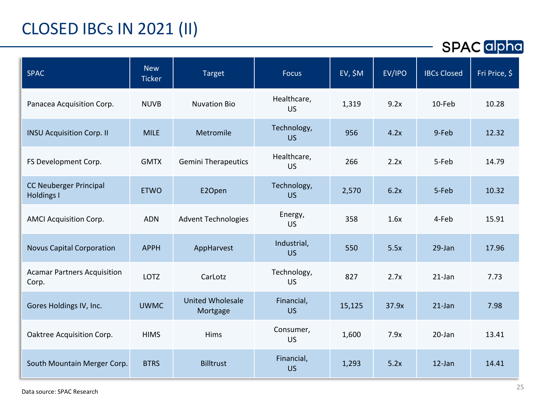## CLOSED IBCs IN 2021 (II)

| <b>SPAC</b>                                 | <b>New</b><br><b>Ticker</b> | Target                              | <b>Focus</b>             | EV, \$M | EV/IPO | <b>IBCs Closed</b> | Fri Price, \$ |
|---------------------------------------------|-----------------------------|-------------------------------------|--------------------------|---------|--------|--------------------|---------------|
| Panacea Acquisition Corp.                   | <b>NUVB</b>                 | <b>Nuvation Bio</b>                 | Healthcare,<br><b>US</b> | 1,319   | 9.2x   | 10-Feb             | 10.28         |
| <b>INSU Acquisition Corp. II</b>            | <b>MILE</b>                 | Metromile                           | Technology,<br><b>US</b> | 956     | 4.2x   | 9-Feb              | 12.32         |
| FS Development Corp.                        | <b>GMTX</b>                 | <b>Gemini Therapeutics</b>          | Healthcare,<br><b>US</b> | 266     | 2.2x   | 5-Feb              | 14.79         |
| <b>CC Neuberger Principal</b><br>Holdings I | <b>ETWO</b>                 | E2Open                              | Technology,<br><b>US</b> | 2,570   | 6.2x   | 5-Feb              | 10.32         |
| <b>AMCI Acquisition Corp.</b>               | <b>ADN</b>                  | <b>Advent Technologies</b>          | Energy,<br><b>US</b>     | 358     | 1.6x   | 4-Feb              | 15.91         |
| <b>Novus Capital Corporation</b>            | <b>APPH</b>                 | AppHarvest                          | Industrial,<br><b>US</b> | 550     | 5.5x   | 29-Jan             | 17.96         |
| <b>Acamar Partners Acquisition</b><br>Corp. | <b>LOTZ</b>                 | CarLotz                             | Technology,<br><b>US</b> | 827     | 2.7x   | $21$ -Jan          | 7.73          |
| Gores Holdings IV, Inc.                     | <b>UWMC</b>                 | <b>United Wholesale</b><br>Mortgage | Financial,<br><b>US</b>  | 15,125  | 37.9x  | $21$ -Jan          | 7.98          |
| Oaktree Acquisition Corp.                   | <b>HIMS</b>                 | Hims                                | Consumer,<br><b>US</b>   | 1,600   | 7.9x   | 20-Jan             | 13.41         |
| South Mountain Merger Corp.                 | <b>BTRS</b>                 | <b>Billtrust</b>                    | Financial,<br><b>US</b>  | 1,293   | 5.2x   | $12$ -Jan          | 14.41         |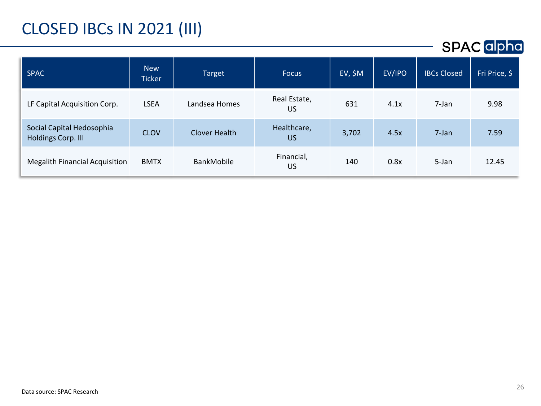## CLOSED IBCs IN 2021 (III)

| <b>SPAC</b>                                     | <b>New</b><br><b>Ticker</b> | <b>Target</b> | <b>Focus</b>             | $EV, \$M$ | EV/IPO | <b>IBCs Closed</b> | Fri Price, \$ |
|-------------------------------------------------|-----------------------------|---------------|--------------------------|-----------|--------|--------------------|---------------|
| LF Capital Acquisition Corp.                    | <b>LSEA</b>                 | Landsea Homes | Real Estate,<br>US       | 631       | 4.1x   | 7-Jan              | 9.98          |
| Social Capital Hedosophia<br>Holdings Corp. III | <b>CLOV</b>                 | Clover Health | Healthcare,<br><b>US</b> | 3,702     | 4.5x   | 7-Jan              | 7.59          |
| <b>Megalith Financial Acquisition</b>           | <b>BMTX</b>                 | BankMobile    | Financial,<br>US         | 140       | 0.8x   | 5-Jan              | 12.45         |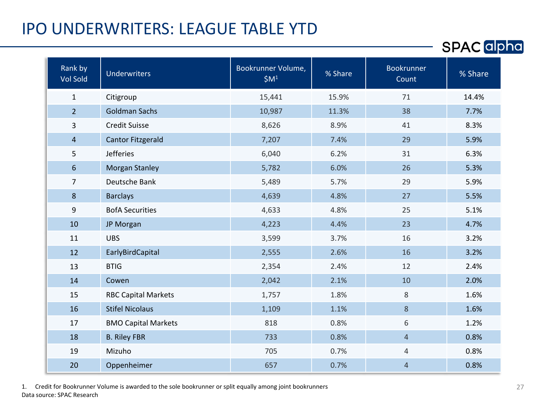#### IPO UNDERWRITERS: LEAGUE TABLE YTD

| Rank by<br><b>Vol Sold</b> | <b>Underwriters</b>        | Bookrunner Volume,<br>\$M <sup>1</sup> | % Share | <b>Bookrunner</b><br>Count | % Share |
|----------------------------|----------------------------|----------------------------------------|---------|----------------------------|---------|
| $\mathbf{1}$               | Citigroup                  | 15,441                                 | 15.9%   | 71                         | 14.4%   |
| $\overline{2}$             | <b>Goldman Sachs</b>       | 10,987                                 | 11.3%   | 38                         | 7.7%    |
| 3                          | <b>Credit Suisse</b>       | 8,626                                  | 8.9%    | 41                         | 8.3%    |
| $\overline{4}$             | <b>Cantor Fitzgerald</b>   | 7,207                                  | 7.4%    | 29                         | 5.9%    |
| 5                          | <b>Jefferies</b>           | 6,040                                  | 6.2%    | 31                         | 6.3%    |
| 6                          | <b>Morgan Stanley</b>      | 5,782                                  | 6.0%    | 26                         | 5.3%    |
| $\overline{7}$             | Deutsche Bank              | 5,489                                  | 5.7%    | 29                         | 5.9%    |
| 8                          | <b>Barclays</b>            | 4,639                                  | 4.8%    | 27                         | 5.5%    |
| 9                          | <b>BofA Securities</b>     | 4,633                                  | 4.8%    | 25                         | 5.1%    |
| 10                         | JP Morgan                  | 4,223                                  | 4.4%    | 23                         | 4.7%    |
| 11                         | <b>UBS</b>                 | 3,599                                  | 3.7%    | 16                         | 3.2%    |
| 12                         | EarlyBirdCapital           | 2,555                                  | 2.6%    | 16                         | 3.2%    |
| 13                         | <b>BTIG</b>                | 2,354                                  | 2.4%    | 12                         | 2.4%    |
| 14                         | Cowen                      | 2,042                                  | 2.1%    | 10                         | 2.0%    |
| 15                         | <b>RBC Capital Markets</b> | 1,757                                  | 1.8%    | $\,8\,$                    | 1.6%    |
| 16                         | <b>Stifel Nicolaus</b>     | 1,109                                  | 1.1%    | 8                          | 1.6%    |
| 17                         | <b>BMO Capital Markets</b> | 818                                    | 0.8%    | 6                          | 1.2%    |
| 18                         | <b>B. Riley FBR</b>        | 733                                    | 0.8%    | $\overline{4}$             | 0.8%    |
| 19                         | Mizuho                     | 705                                    | 0.7%    | 4                          | 0.8%    |
| 20                         | Oppenheimer                | 657                                    | 0.7%    | $\overline{4}$             | 0.8%    |

1. Credit for Bookrunner Volume is awarded to the sole bookrunner or split equally among joint bookrunners Data source: SPAC Research